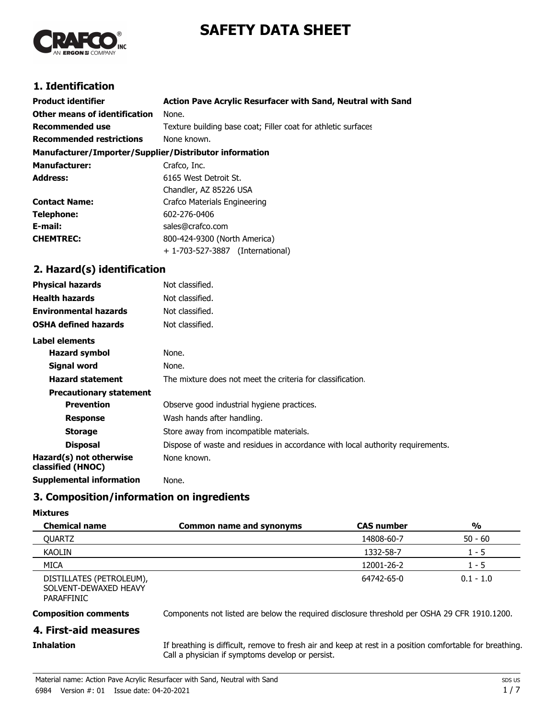# **SAFETY DATA SHEET**



# **1. Identification**

| <b>Product identifier</b>                              | Action Pave Acrylic Resurfacer with Sand, Neutral with Sand   |  |  |
|--------------------------------------------------------|---------------------------------------------------------------|--|--|
| Other means of identification                          | None.                                                         |  |  |
| <b>Recommended use</b>                                 | Texture building base coat; Filler coat for athletic surfaces |  |  |
| <b>Recommended restrictions</b>                        | None known.                                                   |  |  |
| Manufacturer/Importer/Supplier/Distributor information |                                                               |  |  |
| <b>Manufacturer:</b>                                   | Crafco, Inc.                                                  |  |  |
| <b>Address:</b>                                        | 6165 West Detroit St.                                         |  |  |
|                                                        | Chandler, AZ 85226 USA                                        |  |  |
| <b>Contact Name:</b>                                   | Crafco Materials Engineering                                  |  |  |
| Telephone:                                             | 602-276-0406                                                  |  |  |
| E-mail:                                                | sales@crafco.com                                              |  |  |
| <b>CHEMTREC:</b>                                       | 800-424-9300 (North America)                                  |  |  |
|                                                        | + 1-703-527-3887<br>(International)                           |  |  |

# **2. Hazard(s) identification**

| <b>Physical hazards</b>                      | Not classified.                                                                |
|----------------------------------------------|--------------------------------------------------------------------------------|
| <b>Health hazards</b>                        | Not classified.                                                                |
| <b>Environmental hazards</b>                 | Not classified.                                                                |
| <b>OSHA defined hazards</b>                  | Not classified.                                                                |
| Label elements                               |                                                                                |
| <b>Hazard symbol</b>                         | None.                                                                          |
| <b>Signal word</b>                           | None.                                                                          |
| <b>Hazard statement</b>                      | The mixture does not meet the criteria for classification.                     |
| <b>Precautionary statement</b>               |                                                                                |
| <b>Prevention</b>                            | Observe good industrial hygiene practices.                                     |
| <b>Response</b>                              | Wash hands after handling.                                                     |
| <b>Storage</b>                               | Store away from incompatible materials.                                        |
| <b>Disposal</b>                              | Dispose of waste and residues in accordance with local authority requirements. |
| Hazard(s) not otherwise<br>classified (HNOC) | None known.                                                                    |
| <b>Supplemental information</b>              | None.                                                                          |

### **3. Composition/information on ingredients**

#### **Mixtures**

| <b>Chemical name</b>                                                    | <b>Common name and synonyms</b> | <b>CAS number</b> | $\frac{0}{0}$ |
|-------------------------------------------------------------------------|---------------------------------|-------------------|---------------|
| OUARTZ                                                                  |                                 | 14808-60-7        | $50 - 60$     |
| KAOLIN                                                                  |                                 | 1332-58-7         | . - 5         |
| <b>MICA</b>                                                             |                                 | 12001-26-2        | 1 - 5         |
| DISTILLATES (PETROLEUM),<br>SOLVENT-DEWAXED HEAVY<br><b>DADAFFILITO</b> |                                 | 64742-65-0        | $0.1 - 1.0$   |

PARAFFINIC

**Composition comments** Components not listed are below the required disclosure threshold per OSHA 29 CFR 1910.1200.

### **4. First-aid measures**

### **Inhalation**

If breathing is difficult, remove to fresh air and keep at rest in a position comfortable for breathing. Call a physician if symptoms develop or persist.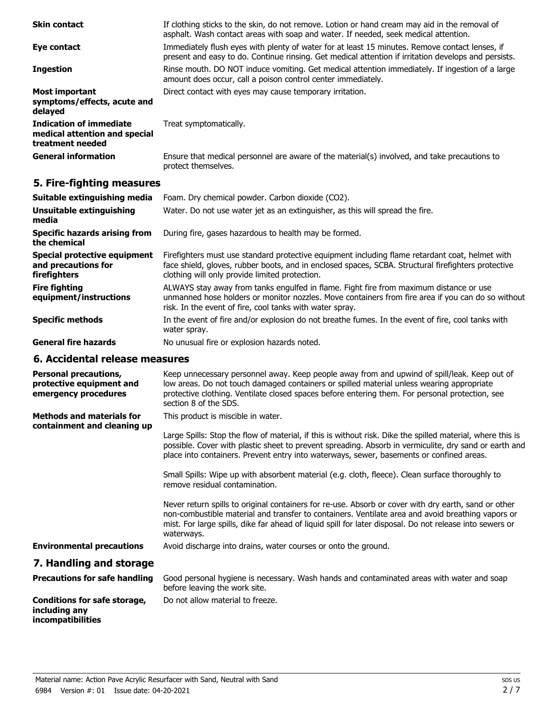| <b>Skin contact</b>                                                                 | If clothing sticks to the skin, do not remove. Lotion or hand cream may aid in the removal of<br>asphalt. Wash contact areas with soap and water. If needed, seek medical attention.                   |
|-------------------------------------------------------------------------------------|--------------------------------------------------------------------------------------------------------------------------------------------------------------------------------------------------------|
| Eye contact                                                                         | Immediately flush eyes with plenty of water for at least 15 minutes. Remove contact lenses, if<br>present and easy to do. Continue rinsing. Get medical attention if irritation develops and persists. |
| <b>Ingestion</b>                                                                    | Rinse mouth. DO NOT induce vomiting. Get medical attention immediately. If ingestion of a large<br>amount does occur, call a poison control center immediately.                                        |
| <b>Most important</b><br>symptoms/effects, acute and<br>delayed                     | Direct contact with eyes may cause temporary irritation.                                                                                                                                               |
| <b>Indication of immediate</b><br>medical attention and special<br>treatment needed | Treat symptomatically.                                                                                                                                                                                 |
| <b>General information</b>                                                          | Ensure that medical personnel are aware of the material(s) involved, and take precautions to<br>protect themselves.                                                                                    |

# **5. Fire-fighting measures**

| Suitable extinguishing media                                        | Foam. Dry chemical powder. Carbon dioxide (CO2).                                                                                                                                                                                                         |
|---------------------------------------------------------------------|----------------------------------------------------------------------------------------------------------------------------------------------------------------------------------------------------------------------------------------------------------|
| Unsuitable extinguishing<br>media                                   | Water. Do not use water jet as an extinguisher, as this will spread the fire.                                                                                                                                                                            |
| <b>Specific hazards arising from</b><br>the chemical                | During fire, gases hazardous to health may be formed.                                                                                                                                                                                                    |
| Special protective equipment<br>and precautions for<br>firefighters | Firefighters must use standard protective equipment including flame retardant coat, helmet with<br>face shield, gloves, rubber boots, and in enclosed spaces, SCBA. Structural firefighters protective<br>clothing will only provide limited protection. |
| <b>Fire fighting</b><br>equipment/instructions                      | ALWAYS stay away from tanks engulfed in flame. Fight fire from maximum distance or use<br>unmanned hose holders or monitor nozzles. Move containers from fire area if you can do so without<br>risk. In the event of fire, cool tanks with water spray.  |
| <b>Specific methods</b>                                             | In the event of fire and/or explosion do not breathe fumes. In the event of fire, cool tanks with<br>water spray.                                                                                                                                        |
| <b>General fire hazards</b>                                         | No unusual fire or explosion hazards noted.                                                                                                                                                                                                              |
|                                                                     |                                                                                                                                                                                                                                                          |

### **6. Accidental release measures**

**incompatibilities**

| <b>Personal precautions,</b><br>protective equipment and<br>emergency procedures | Keep unnecessary personnel away. Keep people away from and upwind of spill/leak. Keep out of<br>low areas. Do not touch damaged containers or spilled material unless wearing appropriate<br>protective clothing. Ventilate closed spaces before entering them. For personal protection, see<br>section 8 of the SDS.               |
|----------------------------------------------------------------------------------|-------------------------------------------------------------------------------------------------------------------------------------------------------------------------------------------------------------------------------------------------------------------------------------------------------------------------------------|
| <b>Methods and materials for</b><br>containment and cleaning up                  | This product is miscible in water.                                                                                                                                                                                                                                                                                                  |
|                                                                                  | Large Spills: Stop the flow of material, if this is without risk. Dike the spilled material, where this is<br>possible. Cover with plastic sheet to prevent spreading. Absorb in vermiculite, dry sand or earth and<br>place into containers. Prevent entry into waterways, sewer, basements or confined areas.                     |
|                                                                                  | Small Spills: Wipe up with absorbent material (e.g. cloth, fleece). Clean surface thoroughly to<br>remove residual contamination.                                                                                                                                                                                                   |
|                                                                                  | Never return spills to original containers for re-use. Absorb or cover with dry earth, sand or other<br>non-combustible material and transfer to containers. Ventilate area and avoid breathing vapors or<br>mist. For large spills, dike far ahead of liquid spill for later disposal. Do not release into sewers or<br>waterways. |
| <b>Environmental precautions</b>                                                 | Avoid discharge into drains, water courses or onto the ground.                                                                                                                                                                                                                                                                      |
| 7. Handling and storage                                                          |                                                                                                                                                                                                                                                                                                                                     |
| <b>Precautions for safe handling</b>                                             | Good personal hygiene is necessary. Wash hands and contaminated areas with water and soap<br>before leaving the work site.                                                                                                                                                                                                          |
| <b>Conditions for safe storage,</b><br>including any                             | Do not allow material to freeze.                                                                                                                                                                                                                                                                                                    |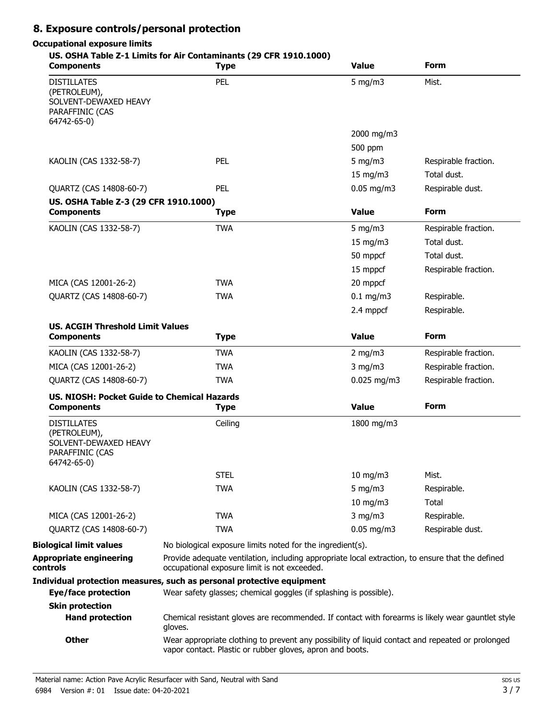# **8. Exposure controls/personal protection**

# **Occupational exposure limits**

#### **US. OSHA Table Z-1 Limits for Air Contaminants (29 CFR 1910.1000)**

| <b>Components</b>                                                                             | <b>Type</b>                                                                                                                                                   | <b>Value</b>      | Form                 |  |
|-----------------------------------------------------------------------------------------------|---------------------------------------------------------------------------------------------------------------------------------------------------------------|-------------------|----------------------|--|
| <b>DISTILLATES</b><br>(PETROLEUM),<br>SOLVENT-DEWAXED HEAVY<br>PARAFFINIC (CAS<br>64742-65-0) | PEL                                                                                                                                                           | $5$ mg/m $3$      | Mist.                |  |
|                                                                                               |                                                                                                                                                               | 2000 mg/m3        |                      |  |
|                                                                                               |                                                                                                                                                               | 500 ppm           |                      |  |
| KAOLIN (CAS 1332-58-7)                                                                        | PEL                                                                                                                                                           | 5 mg/m $3$        | Respirable fraction. |  |
|                                                                                               |                                                                                                                                                               | $15 \text{ mg/m}$ | Total dust.          |  |
| QUARTZ (CAS 14808-60-7)                                                                       | PEL                                                                                                                                                           | $0.05$ mg/m3      | Respirable dust.     |  |
| US. OSHA Table Z-3 (29 CFR 1910.1000)<br><b>Components</b>                                    | <b>Type</b>                                                                                                                                                   | <b>Value</b>      | <b>Form</b>          |  |
| KAOLIN (CAS 1332-58-7)                                                                        | <b>TWA</b>                                                                                                                                                    | 5 mg/m $3$        | Respirable fraction. |  |
|                                                                                               |                                                                                                                                                               | 15 mg/m3          | Total dust.          |  |
|                                                                                               |                                                                                                                                                               | 50 mppcf          | Total dust.          |  |
|                                                                                               |                                                                                                                                                               | 15 mppcf          | Respirable fraction. |  |
| MICA (CAS 12001-26-2)                                                                         | <b>TWA</b>                                                                                                                                                    | 20 mppcf          |                      |  |
| QUARTZ (CAS 14808-60-7)                                                                       | <b>TWA</b>                                                                                                                                                    | $0.1$ mg/m3       | Respirable.          |  |
|                                                                                               |                                                                                                                                                               | 2.4 mppcf         | Respirable.          |  |
| <b>US. ACGIH Threshold Limit Values</b>                                                       |                                                                                                                                                               |                   |                      |  |
| <b>Components</b>                                                                             | <b>Type</b>                                                                                                                                                   | <b>Value</b>      | <b>Form</b>          |  |
| KAOLIN (CAS 1332-58-7)                                                                        | <b>TWA</b>                                                                                                                                                    | $2$ mg/m $3$      | Respirable fraction. |  |
| MICA (CAS 12001-26-2)                                                                         | <b>TWA</b>                                                                                                                                                    | $3$ mg/m $3$      | Respirable fraction. |  |
| QUARTZ (CAS 14808-60-7)                                                                       | <b>TWA</b>                                                                                                                                                    | $0.025$ mg/m3     | Respirable fraction. |  |
| US. NIOSH: Pocket Guide to Chemical Hazards<br><b>Components</b>                              | <b>Type</b>                                                                                                                                                   | <b>Value</b>      | <b>Form</b>          |  |
| <b>DISTILLATES</b><br>(PETROLEUM),<br>SOLVENT-DEWAXED HEAVY<br>PARAFFINIC (CAS<br>64742-65-0) | Ceiling                                                                                                                                                       | 1800 mg/m3        |                      |  |
|                                                                                               | <b>STEL</b>                                                                                                                                                   | $10$ mg/m $3$     | Mist.                |  |
| KAOLIN (CAS 1332-58-7)                                                                        | <b>TWA</b>                                                                                                                                                    | 5 mg/m $3$        | Respirable.          |  |
|                                                                                               |                                                                                                                                                               | $10$ mg/m $3$     | Total                |  |
| MICA (CAS 12001-26-2)                                                                         | <b>TWA</b>                                                                                                                                                    | $3$ mg/m $3$      | Respirable.          |  |
| QUARTZ (CAS 14808-60-7)                                                                       | <b>TWA</b>                                                                                                                                                    | $0.05$ mg/m3      | Respirable dust.     |  |
| <b>Biological limit values</b>                                                                | No biological exposure limits noted for the ingredient(s).                                                                                                    |                   |                      |  |
| <b>Appropriate engineering</b><br>controls                                                    | Provide adequate ventilation, including appropriate local extraction, to ensure that the defined<br>occupational exposure limit is not exceeded.              |                   |                      |  |
| <b>Eye/face protection</b>                                                                    | Individual protection measures, such as personal protective equipment<br>Wear safety glasses; chemical goggles (if splashing is possible).                    |                   |                      |  |
| <b>Skin protection</b>                                                                        |                                                                                                                                                               |                   |                      |  |
| <b>Hand protection</b>                                                                        | Chemical resistant gloves are recommended. If contact with forearms is likely wear gauntlet style<br>gloves.                                                  |                   |                      |  |
| <b>Other</b>                                                                                  | Wear appropriate clothing to prevent any possibility of liquid contact and repeated or prolonged<br>vapor contact. Plastic or rubber gloves, apron and boots. |                   |                      |  |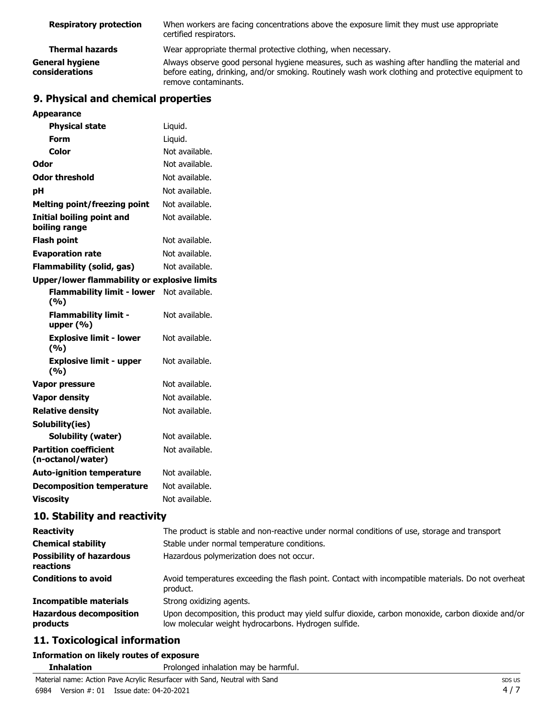| <b>Respiratory protection</b>     | When workers are facing concentrations above the exposure limit they must use appropriate<br>certified respirators.                                                                                                         |
|-----------------------------------|-----------------------------------------------------------------------------------------------------------------------------------------------------------------------------------------------------------------------------|
| <b>Thermal hazards</b>            | Wear appropriate thermal protective clothing, when necessary.                                                                                                                                                               |
| General hygiene<br>considerations | Always observe good personal hygiene measures, such as washing after handling the material and<br>before eating, drinking, and/or smoking. Routinely wash work clothing and protective equipment to<br>remove contaminants. |

# **9. Physical and chemical properties**

| <b>Appearance</b>                                   |                |
|-----------------------------------------------------|----------------|
| <b>Physical state</b>                               | Liquid.        |
| Form                                                | Liquid.        |
| Color                                               | Not available. |
| Odor                                                | Not available. |
| <b>Odor threshold</b>                               | Not available. |
| рH                                                  | Not available. |
| <b>Melting point/freezing point</b>                 | Not available. |
| <b>Initial boiling point and</b><br>boiling range   | Not available. |
| <b>Flash point</b>                                  | Not available. |
| <b>Evaporation rate</b>                             | Not available. |
| <b>Flammability (solid, gas)</b>                    | Not available. |
| <b>Upper/lower flammability or explosive limits</b> |                |
| <b>Flammability limit - lower</b><br>(9/6)          | Not available. |
| <b>Flammability limit -</b><br>upper $(% )$         | Not available. |
| <b>Explosive limit - lower</b><br>(%)               | Not available. |
| <b>Explosive limit - upper</b><br>(%)               | Not available. |
| <b>Vapor pressure</b>                               | Not available. |
| <b>Vapor density</b>                                | Not available. |
| <b>Relative density</b>                             | Not available. |
| Solubility(ies)                                     |                |
| <b>Solubility (water)</b>                           | Not available. |
| <b>Partition coefficient</b><br>(n-octanol/water)   | Not available. |
| <b>Auto-ignition temperature</b>                    | Not available. |
| <b>Decomposition temperature</b>                    | Not available. |
| <b>Viscosity</b>                                    | Not available. |

# **10. Stability and reactivity**

| <b>Reactivity</b>                            | The product is stable and non-reactive under normal conditions of use, storage and transport                                                              |  |  |
|----------------------------------------------|-----------------------------------------------------------------------------------------------------------------------------------------------------------|--|--|
| <b>Chemical stability</b>                    | Stable under normal temperature conditions.                                                                                                               |  |  |
| <b>Possibility of hazardous</b><br>reactions | Hazardous polymerization does not occur.                                                                                                                  |  |  |
| <b>Conditions to avoid</b>                   | Avoid temperatures exceeding the flash point. Contact with incompatible materials. Do not overheat<br>product.                                            |  |  |
| Incompatible materials                       | Strong oxidizing agents.                                                                                                                                  |  |  |
| <b>Hazardous decomposition</b><br>products   | Upon decomposition, this product may yield sulfur dioxide, carbon monoxide, carbon dioxide and/or<br>low molecular weight hydrocarbons. Hydrogen sulfide. |  |  |

# **11. Toxicological information**

### **Information on likely routes of exposure**

**Inhalation** Prolonged inhalation may be harmful.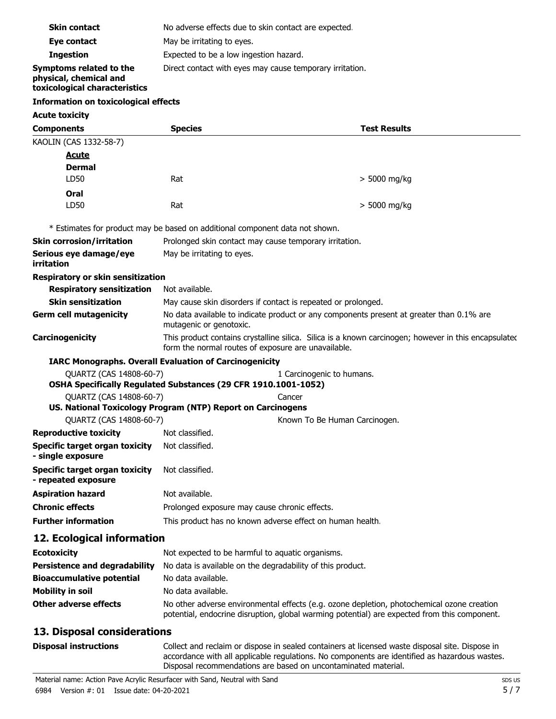| <b>Components</b>                                                                  | <b>Species</b>                                           | <b>Test Results</b> |  |
|------------------------------------------------------------------------------------|----------------------------------------------------------|---------------------|--|
| <b>Acute toxicity</b>                                                              |                                                          |                     |  |
| Information on toxicological effects                                               |                                                          |                     |  |
| Symptoms related to the<br>physical, chemical and<br>toxicological characteristics | Direct contact with eyes may cause temporary irritation. |                     |  |
| <b>Ingestion</b>                                                                   | Expected to be a low ingestion hazard.                   |                     |  |
| Eye contact                                                                        | May be irritating to eyes.                               |                     |  |
| <b>Skin contact</b>                                                                | No adverse effects due to skin contact are expected.     |                     |  |
|                                                                                    |                                                          |                     |  |

| KAOLIN (CAS 1332-58-7)                                       |                                                                                                                                                             |                               |                |
|--------------------------------------------------------------|-------------------------------------------------------------------------------------------------------------------------------------------------------------|-------------------------------|----------------|
| <b>Acute</b>                                                 |                                                                                                                                                             |                               |                |
| <b>Dermal</b>                                                |                                                                                                                                                             |                               |                |
| LD50                                                         | Rat                                                                                                                                                         |                               | $>$ 5000 mg/kg |
| Oral                                                         |                                                                                                                                                             |                               |                |
| LD50                                                         | Rat                                                                                                                                                         |                               | $> 5000$ mg/kg |
|                                                              | * Estimates for product may be based on additional component data not shown.                                                                                |                               |                |
| <b>Skin corrosion/irritation</b>                             | Prolonged skin contact may cause temporary irritation.                                                                                                      |                               |                |
| Serious eye damage/eye<br>irritation                         | May be irritating to eyes.                                                                                                                                  |                               |                |
| Respiratory or skin sensitization                            |                                                                                                                                                             |                               |                |
| <b>Respiratory sensitization</b>                             | Not available.                                                                                                                                              |                               |                |
| <b>Skin sensitization</b>                                    | May cause skin disorders if contact is repeated or prolonged.                                                                                               |                               |                |
| <b>Germ cell mutagenicity</b>                                | No data available to indicate product or any components present at greater than 0.1% are<br>mutagenic or genotoxic.                                         |                               |                |
| Carcinogenicity                                              | This product contains crystalline silica. Silica is a known carcinogen; however in this encapsulated<br>form the normal routes of exposure are unavailable. |                               |                |
|                                                              | <b>IARC Monographs. Overall Evaluation of Carcinogenicity</b>                                                                                               |                               |                |
| QUARTZ (CAS 14808-60-7)                                      | OSHA Specifically Regulated Substances (29 CFR 1910.1001-1052)                                                                                              | 1 Carcinogenic to humans.     |                |
| QUARTZ (CAS 14808-60-7)                                      |                                                                                                                                                             | Cancer                        |                |
|                                                              | US. National Toxicology Program (NTP) Report on Carcinogens                                                                                                 |                               |                |
| QUARTZ (CAS 14808-60-7)                                      |                                                                                                                                                             | Known To Be Human Carcinogen. |                |
| <b>Reproductive toxicity</b>                                 | Not classified.                                                                                                                                             |                               |                |
| <b>Specific target organ toxicity</b><br>- single exposure   | Not classified.                                                                                                                                             |                               |                |
| <b>Specific target organ toxicity</b><br>- repeated exposure | Not classified.                                                                                                                                             |                               |                |
| <b>Aspiration hazard</b>                                     | Not available.                                                                                                                                              |                               |                |
| <b>Chronic effects</b>                                       | Prolonged exposure may cause chronic effects.                                                                                                               |                               |                |
| <b>Further information</b>                                   | This product has no known adverse effect on human health.                                                                                                   |                               |                |
| 12. Ecological information                                   |                                                                                                                                                             |                               |                |

| <b>Ecotoxicity</b>               | Not expected to be harmful to aquatic organisms.                                                                                                                                           |  |
|----------------------------------|--------------------------------------------------------------------------------------------------------------------------------------------------------------------------------------------|--|
| Persistence and degradability    | No data is available on the degradability of this product.                                                                                                                                 |  |
| <b>Bioaccumulative potential</b> | No data available.                                                                                                                                                                         |  |
| Mobility in soil                 | No data available.                                                                                                                                                                         |  |
| Other adverse effects            | No other adverse environmental effects (e.g. ozone depletion, photochemical ozone creation<br>potential, endocrine disruption, global warming potential) are expected from this component. |  |

# **13. Disposal considerations**

Collect and reclaim or dispose in sealed containers at licensed waste disposal site. Dispose in accordance with all applicable regulations. No components are identified as hazardous wastes. Disposal recommendations are based on uncontaminated material.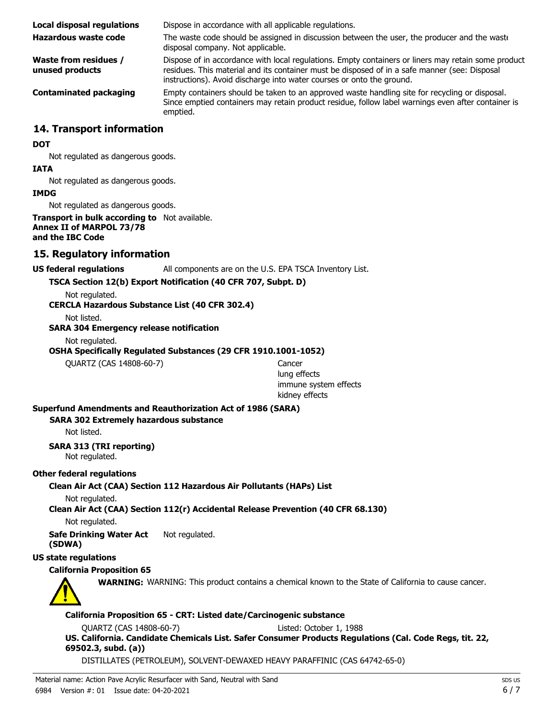| <b>Local disposal regulations</b>               | Dispose in accordance with all applicable regulations.                                                                                                                                                                                                                        |
|-------------------------------------------------|-------------------------------------------------------------------------------------------------------------------------------------------------------------------------------------------------------------------------------------------------------------------------------|
| Hazardous waste code                            | The waste code should be assigned in discussion between the user, the producer and the waste<br>disposal company. Not applicable.                                                                                                                                             |
| <b>Waste from residues /</b><br>unused products | Dispose of in accordance with local regulations. Empty containers or liners may retain some product<br>residues. This material and its container must be disposed of in a safe manner (see: Disposal<br>instructions). Avoid discharge into water courses or onto the ground. |
| <b>Contaminated packaging</b>                   | Empty containers should be taken to an approved waste handling site for recycling or disposal.<br>Since emptied containers may retain product residue, follow label warnings even after container is<br>emptied.                                                              |

### **14. Transport information**

#### **DOT**

Not regulated as dangerous goods.

#### **IATA**

Not regulated as dangerous goods.

#### **IMDG**

Not regulated as dangerous goods.

#### **Transport in bulk according to** Not available. **Annex II of MARPOL 73/78 and the IBC Code**

### **15. Regulatory information**

#### **US federal regulations** All components are on the U.S. EPA TSCA Inventory List.

**TSCA Section 12(b) Export Notification (40 CFR 707, Subpt. D)**

Not regulated.

### **CERCLA Hazardous Substance List (40 CFR 302.4)**

Not listed.

**SARA 304 Emergency release notification**

Not regulated.

**OSHA Specifically Regulated Substances (29 CFR 1910.1001-1052)**

QUARTZ (CAS 14808-60-7) Cancer

lung effects immune system effects kidney effects

#### **Superfund Amendments and Reauthorization Act of 1986 (SARA)**

#### **SARA 302 Extremely hazardous substance**

Not listed.

**SARA 313 (TRI reporting)** Not regulated.

#### **Other federal regulations**

**Clean Air Act (CAA) Section 112 Hazardous Air Pollutants (HAPs) List**

Not regulated.

**Clean Air Act (CAA) Section 112(r) Accidental Release Prevention (40 CFR 68.130)**

Not regulated.

**Safe Drinking Water Act** Not regulated. **(SDWA)**

#### **US state regulations**

### **California Proposition 65**



**WARNING:** WARNING: This product contains a chemical known to the State of California to cause cancer.

### **California Proposition 65 - CRT: Listed date/Carcinogenic substance**

QUARTZ (CAS 14808-60-7) Listed: October 1, 1988

**US. California. Candidate Chemicals List. Safer Consumer Products Regulations (Cal. Code Regs, tit. 22, 69502.3, subd. (a))**

DISTILLATES (PETROLEUM), SOLVENT-DEWAXED HEAVY PARAFFINIC (CAS 64742-65-0)